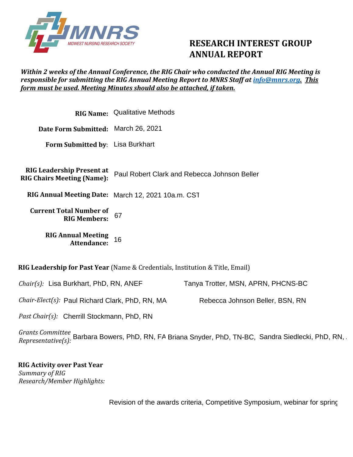

## **RESEARCH INTEREST GROUP ANNUAL REPORT**

## *Within 2 weeks of the Annual Conference, the RIG Chair who conducted the Annual RIG Meeting is responsible for submitting the RIG Annual Meeting Report to MNRS Staff at [info@mnrs.org.](mailto:info@mnrs.org) This form must be used. Meeting Minutes should also be attached, if taken.*

|                                                                       | <b>RIG Name: Qualitative Methods</b>               |  |  |  |
|-----------------------------------------------------------------------|----------------------------------------------------|--|--|--|
| Date Form Submitted: March 26, 2021                                   |                                                    |  |  |  |
| Form Submitted by: Lisa Burkhart                                      |                                                    |  |  |  |
|                                                                       |                                                    |  |  |  |
| <b>RIG Leadership Present at</b><br><b>RIG Chairs Meeting (Name):</b> | Paul Robert Clark and Rebecca Johnson Beller       |  |  |  |
|                                                                       | RIG Annual Meeting Date: March 12, 2021 10a.m. CST |  |  |  |
| <b>Current Total Number of</b><br><b>RIG Members:</b>                 | 67                                                 |  |  |  |
| <b>RIG Annual Meeting</b><br>Attendance:                              | 16                                                 |  |  |  |
|                                                                       |                                                    |  |  |  |

**RIG Leadership for Past Year** (Name & Credentials, Institution & Title, Email)

*Chair(s):*  Lisa Burkhart, PhD, RN, ANEF Tanya Trotter, MSN, APRN, PHCNS-BC

*Chair-Elect(s):*  Paul Richard Clark, PhD, RN, MA

*Past Chair(s):*  Cherrill Stockmann, PhD, RN

*Grants Committee Chair-Elect(s): P*aul Richard Clark, PhD, RN, MA Rebecca Johnson Beller, BSN, RN<br>*Past Chair(s): C*herrill Stockmann, PhD, RN<br>*Grants Committee Barbara Bowers, PhD, RN, FA Briana Snyder, PhD, TN-BC, Sandra* 

**RIG Activity over Past Year**  *Summary of RIG Research/Member Highlights:* 

Revision of the awards criteria, Competitive Symposium, webinar for spring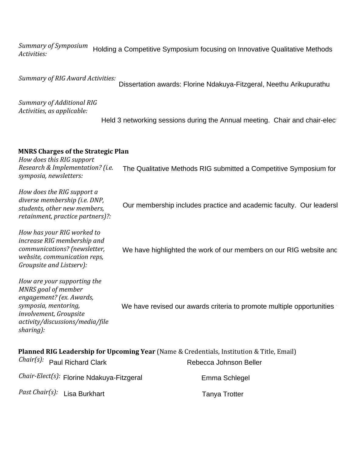*Summary of Symposium Activities:*  Holding a Competitive Symposium focusing on Innovative Qualitative Methods

*Summary of RIG Award Activities:* 

Dissertation awards: Florine Ndakuya-Fitzgeral, Neethu Arikupurathu

*Summary of Additional RIG Activities, as applicable:*

Held 3 networking sessions during the Annual meeting. Chair and chair-elect

## **MNRS Charges of the Strategic Plan**

*How does this RIG support Research & Implementation? (i.e. symposia, newsletters:*

*How does the RIG support a diverse membership (i.e. DNP, students, other new members, retainment, practice partners)?:* The Qualitative Methods RIG submitted a Competitive Symposium for<br>Our membership includes practice and academic faculty. Our leadersl<br>We have highlighted the work of our members on our RIG website and

*How has your RIG worked to increase RIG membership and communications? (newsletter, website, communication reps, Groupsite and Listserv):*

*How are your supporting the MNRS goal of member engagement? (ex. Awards, symposia, mentoring, involvement, Groupsite activity/discussions/media/file sharing):* We have revised our awards criteria to promote multiple opportunities

| <b>Planned RIG Leadership for Upcoming Year</b> (Name & Credentials, Institution & Title, Email) |                        |  |  |  |  |  |  |
|--------------------------------------------------------------------------------------------------|------------------------|--|--|--|--|--|--|
| Chair(s): Paul Richard Clark                                                                     | Rebecca Johnson Beller |  |  |  |  |  |  |
| Chair-Elect(s): Florine Ndakuya-Fitzgeral                                                        | Emma Schlegel          |  |  |  |  |  |  |
| Past Chair(s): Lisa Burkhart                                                                     | <b>Tanya Trotter</b>   |  |  |  |  |  |  |